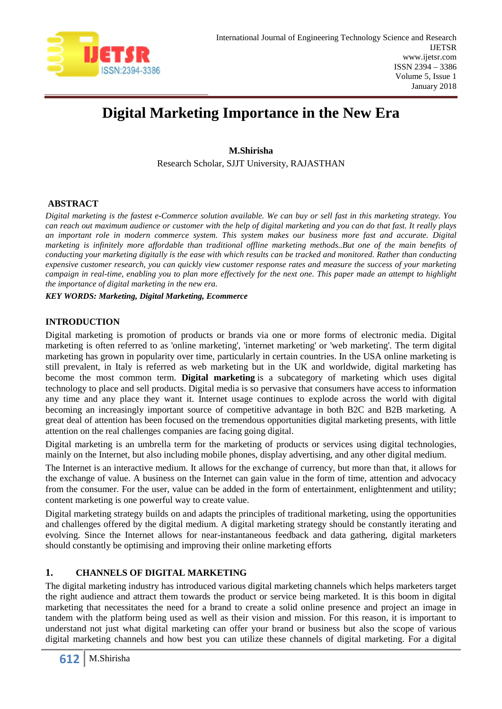

# **Digital Marketing Importance in the New Era**

## **M.Shirisha**

Research Scholar, SJJT University, RAJASTHAN

## **ABSTRACT**

*Digital marketing is the fastest e-Commerce solution available. We can buy or sell fast in this marketing strategy. You can reach out maximum audience or customer with the help of digital marketing and you can do that fast. It really plays an important role in modern commerce system. This system makes our business more fast and accurate. Digital marketing is infinitely more affordable than traditional offline marketing methods..But one of the main benefits of conducting your marketing digitally is the ease with which results can be tracked and monitored. Rather than conducting expensive customer research, you can quickly view customer response rates and measure the success of your marketing campaign in real-time, enabling you to plan more effectively for the next one. This paper made an attempt to highlight the importance of digital marketing in the new era.*

*KEY WORDS: Marketing, Digital Marketing, Ecommerce*

## **INTRODUCTION**

Digital marketing is promotion of products or brands via one or more forms of electronic media. Digital marketing is often referred to as 'online marketing', 'internet marketing' or 'web marketing'. The term digital marketing has grown in popularity over time, particularly in certain countries. In the USA online marketing is still prevalent, in Italy is referred as web marketing but in the UK and worldwide, digital marketing has become the most common term. **Digital marketing** is a subcategory of marketing which uses digital technology to place and sell products. Digital media is so pervasive that consumers have access to information any time and any place they want it. Internet usage continues to explode across the world with digital becoming an increasingly important source of competitive advantage in both B2C and B2B marketing. A great deal of attention has been focused on the tremendous opportunities digital marketing presents, with little attention on the real challenges companies are facing going digital.

Digital marketing is an umbrella term for the marketing of products or services using digital technologies, mainly on the Internet, but also including mobile phones, display advertising, and any other digital medium.

The Internet is an interactive medium. It allows for the exchange of currency, but more than that, it allows for the exchange of value. A business on the Internet can gain value in the form of time, attention and advocacy from the consumer. For the user, value can be added in the form of entertainment, enlightenment and utility; content marketing is one powerful way to create value.

Digital marketing strategy builds on and adapts the principles of traditional marketing, using the opportunities and challenges offered by the digital medium. A digital marketing strategy should be constantly iterating and evolving. Since the Internet allows for near-instantaneous feedback and data gathering, digital marketers should constantly be optimising and improving their online marketing efforts

## **1. CHANNELS OF DIGITAL MARKETING**

The digital marketing industry has introduced various digital marketing channels which helps marketers target the right audience and attract them towards the product or service being marketed. It is this boom in digital marketing that necessitates the need for a brand to create a solid online presence and project an image in tandem with the platform being used as well as their vision and mission. For this reason, it is important to understand not just what digital marketing can offer your brand or business but also the scope of various digital marketing channels and how best you can utilize these channels of digital marketing. For a digital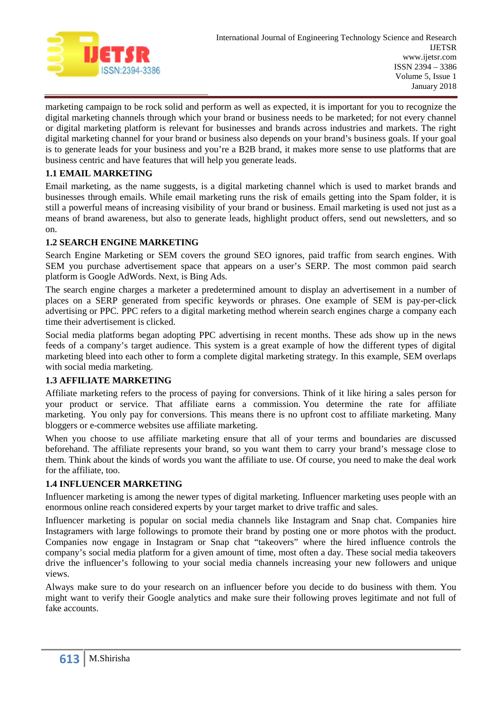

marketing campaign to be rock solid and perform as well as expected, it is important for you to recognize the digital marketing channels through which your brand or business needs to be marketed; for not every channel or digital marketing platform is relevant for businesses and brands across industries and markets. The right digital marketing channel for your brand or business also depends on your brand's business goals. If your goal is to generate leads for your business and you're a B2B brand, it makes more sense to use platforms that are business centric and have features that will help you generate leads.

## **1.1 EMAIL MARKETING**

Email marketing, as the name suggests, is a digital marketing channel which is used to market brands and businesses through emails. While email marketing runs the risk of emails getting into the Spam folder, it is still a powerful means of increasing visibility of your brand or business. Email marketing is used not just as a means of brand awareness, but also to generate leads, highlight product offers, send out newsletters, and so on.

## **1.2 SEARCH ENGINE MARKETING**

Search Engine Marketing or SEM covers the ground SEO ignores, paid traffic from search engines. With SEM you purchase advertisement space that appears on a user's SERP. The most common paid search platform is Google AdWords. Next, is Bing Ads.

The search engine charges a marketer a predetermined amount to display an advertisement in a number of places on a SERP generated from specific keywords or phrases. One example of SEM is pay-per-click advertising or PPC. PPC refers to a digital marketing method wherein search engines charge a company each time their advertisement is clicked.

Social media platforms began adopting PPC advertising in recent months. These ads show up in the news feeds of a company's target audience. This system is a great example of how the different types of digital marketing bleed into each other to form a complete digital marketing strategy. In this example, SEM overlaps with social media marketing.

## **1.3 AFFILIATE MARKETING**

Affiliate marketing refers to the process of paying for conversions. Think of it like hiring a sales person for your product or service. That affiliate earns a commission. You determine the rate for affiliate marketing. You only pay for conversions. This means there is no upfront cost to affiliate marketing. Many bloggers or e-commerce websites use affiliate marketing.

When you choose to use affiliate marketing ensure that all of your terms and boundaries are discussed beforehand. The affiliate represents your brand, so you want them to carry your brand's message close to them. Think about the kinds of words you want the affiliate to use. Of course, you need to make the deal work for the affiliate, too.

#### **1.4 INFLUENCER MARKETING**

Influencer marketing is among the newer types of digital marketing. Influencer marketing uses people with an enormous online reach considered experts by your target market to drive traffic and sales.

Influencer marketing is popular on social media channels like Instagram and Snap chat. Companies hire Instagramers with large followings to promote their brand by posting one or more photos with the product. Companies now engage in Instagram or Snap chat "takeovers" where the hired influence controls the company's social media platform for a given amount of time, most often a day. These social media takeovers drive the influencer's following to your social media channels increasing your new followers and unique views.

Always make sure to do your research on an influencer before you decide to do business with them. You might want to verify their Google analytics and make sure their following proves legitimate and not full of fake accounts.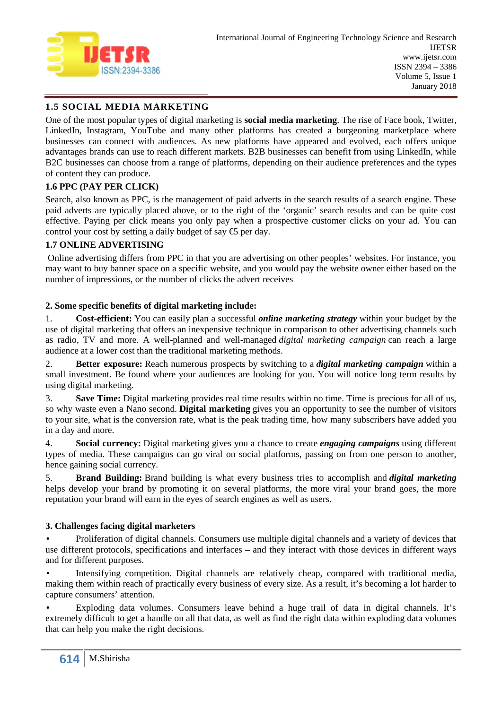

## **1.5 SOCIAL MEDIA MARKETING**

One of the most popular types of digital marketing is **social media marketing**. The rise of Face book, Twitter, LinkedIn, Instagram, YouTube and many other platforms has created a burgeoning marketplace where businesses can connect with audiences. As new platforms have appeared and evolved, each offers unique advantages brands can use to reach different markets. B2B businesses can benefit from using LinkedIn, while B2C businesses can choose from a range of platforms, depending on their audience preferences and the types of content they can produce.

## **1.6 PPC (PAY PER CLICK)**

Search, also known as PPC, is the management of paid adverts in the search results of a search engine. These paid adverts are typically placed above, or to the right of the 'organic' search results and can be quite cost effective. Paying per click means you only pay when a prospective customer clicks on your ad. You can control your cost by setting a daily budget of say  $\bigoplus$  per day.

## **1.7 ONLINE ADVERTISING**

Online advertising differs from PPC in that you are advertising on other peoples' websites. For instance, you may want to buy banner space on a specific website, and you would pay the website owner either based on the number of impressions, or the number of clicks the advert receives

#### **2. Some specific benefits of digital marketing include:**

1. **Cost-efficient:** You can easily plan a successful *online marketing strategy* within your budget by the use of digital marketing that offers an inexpensive technique in comparison to other advertising channels such as radio, TV and more. A well-planned and well-managed *digital marketing campaign* can reach a large audience at a lower cost than the traditional marketing methods.

2. **Better exposure:** Reach numerous prospects by switching to a *digital marketing campaign* within a small investment. Be found where your audiences are looking for you. You will notice long term results by using digital marketing.

3. **Save Time:** Digital marketing provides real time results within no time. Time is precious for all of us, so why waste even a Nano second. **Digital marketing** gives you an opportunity to see the number of visitors to your site, what is the conversion rate, what is the peak trading time, how many subscribers have added you in a day and more.

4. **Social currency:** Digital marketing gives you a chance to create *engaging campaigns* using different types of media. These campaigns can go viral on social platforms, passing on from one person to another, hence gaining social currency.

5. **Brand Building:** Brand building is what every business tries to accomplish and *digital marketing* helps develop your brand by promoting it on several platforms, the more viral your brand goes, the more reputation your brand will earn in the eyes of search engines as well as users.

## **3. Challenges facing digital marketers**

 Proliferation of digital channels. Consumers use multiple digital channels and a variety of devices that use different protocols, specifications and interfaces – and they interact with those devices in different ways and for different purposes.

 Intensifying competition. Digital channels are relatively cheap, compared with traditional media, making them within reach of practically every business of every size. As a result, it's becoming a lot harder to capture consumers' attention.

 Exploding data volumes. Consumers leave behind a huge trail of data in digital channels. It's extremely difficult to get a handle on all that data, as well as find the right data within exploding data volumes that can help you make the right decisions.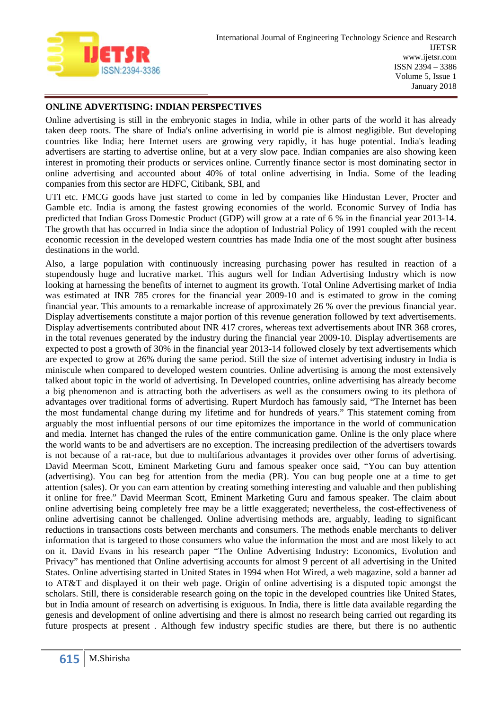

#### **ONLINE ADVERTISING: INDIAN PERSPECTIVES**

Online advertising is still in the embryonic stages in India, while in other parts of the world it has already taken deep roots. The share of India's online advertising in world pie is almost negligible. But developing countries like India; here Internet users are growing very rapidly, it has huge potential. India's leading advertisers are starting to advertise online, but at a very slow pace. Indian companies are also showing keen interest in promoting their products or services online. Currently finance sector is most dominating sector in online advertising and accounted about 40% of total online advertising in India. Some of the leading companies from this sector are HDFC, Citibank, SBI, and

UTI etc. FMCG goods have just started to come in led by companies like Hindustan Lever, Procter and Gamble etc. India is among the fastest growing economies of the world. Economic Survey of India has predicted that Indian Gross Domestic Product (GDP) will grow at a rate of 6 % in the financial year 2013-14. The growth that has occurred in India since the adoption of Industrial Policy of 1991 coupled with the recent economic recession in the developed western countries has made India one of the most sought after business destinations in the world.

Also, a large population with continuously increasing purchasing power has resulted in reaction of a stupendously huge and lucrative market. This augurs well for Indian Advertising Industry which is now looking at harnessing the benefits of internet to augment its growth. Total Online Advertising market of India was estimated at INR 785 crores for the financial year 2009-10 and is estimated to grow in the coming financial year. This amounts to a remarkable increase of approximately 26 % over the previous financial year. Display advertisements constitute a major portion of this revenue generation followed by text advertisements. Display advertisements contributed about INR 417 crores, whereas text advertisements about INR 368 crores, in the total revenues generated by the industry during the financial year 2009-10. Display advertisements are expected to post a growth of 30% in the financial year 2013-14 followed closely by text advertisements which are expected to grow at 26% during the same period. Still the size of internet advertising industry in India is miniscule when compared to developed western countries. Online advertising is among the most extensively talked about topic in the world of advertising. In Developed countries, online advertising has already become a big phenomenon and is attracting both the advertisers as well as the consumers owing to its plethora of advantages over traditional forms of advertising. Rupert Murdoch has famously said, "The Internet has been the most fundamental change during my lifetime and for hundreds of years." This statement coming from arguably the most influential persons of our time epitomizes the importance in the world of communication and media. Internet has changed the rules of the entire communication game. Online is the only place where the world wants to be and advertisers are no exception. The increasing predilection of the advertisers towards is not because of a rat-race, but due to multifarious advantages it provides over other forms of advertising. David Meerman Scott, Eminent Marketing Guru and famous speaker once said, "You can buy attention (advertising). You can beg for attention from the media (PR). You can bug people one at a time to get attention (sales). Or you can earn attention by creating something interesting and valuable and then publishing it online for free." David Meerman Scott, Eminent Marketing Guru and famous speaker. The claim about online advertising being completely free may be a little exaggerated; nevertheless, the cost-effectiveness of online advertising cannot be challenged. Online advertising methods are, arguably, leading to significant reductions in transactions costs between merchants and consumers. The methods enable merchants to deliver information that is targeted to those consumers who value the information the most and are most likely to act on it. David Evans in his research paper "The Online Advertising Industry: Economics, Evolution and Privacy" has mentioned that Online advertising accounts for almost 9 percent of all advertising in the United States. Online advertising started in United States in 1994 when Hot Wired, a web magazine, sold a banner ad to AT&T and displayed it on their web page. Origin of online advertising is a disputed topic amongst the scholars. Still, there is considerable research going on the topic in the developed countries like United States, but in India amount of research on advertising is exiguous. In India, there is little data available regarding the genesis and development of online advertising and there is almost no research being carried out regarding its future prospects at present . Although few industry specific studies are there, but there is no authentic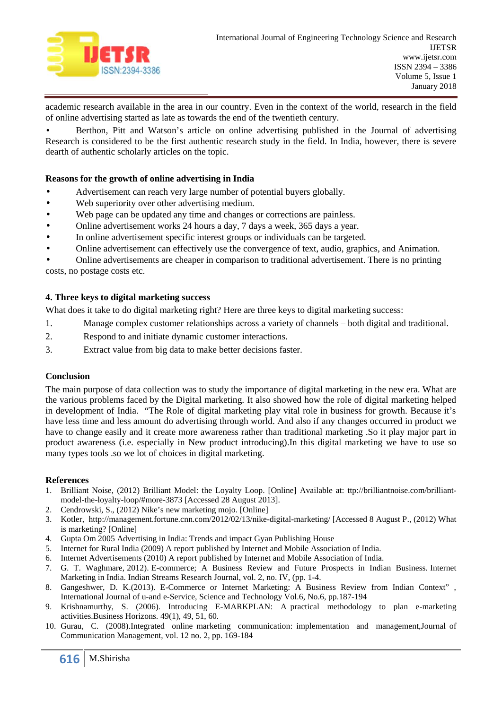

academic research available in the area in our country. Even in the context of the world, research in the field of online advertising started as late as towards the end of the twentieth century.

 Berthon, Pitt and Watson's article on online advertising published in the Journal of advertising Research is considered to be the first authentic research study in the field. In India, however, there is severe dearth of authentic scholarly articles on the topic.

#### **Reasons for the growth of online advertising in India**

- Advertisement can reach very large number of potential buyers globally.
- Web superiority over other advertising medium.
	- Web page can be updated any time and changes or corrections are painless.
	- Online advertisement works 24 hours a day, 7 days a week, 365 days a year.
	- In online advertisement specific interest groups or individuals can be targeted.
	- Online advertisement can effectively use the convergence of text, audio, graphics, and Animation.

 Online advertisements are cheaper in comparison to traditional advertisement. There is no printing costs, no postage costs etc.

#### **4. Three keys to digital marketing success**

What does it take to do digital marketing right? Here are three keys to digital marketing success:

- 1. Manage complex customer relationships across a variety of channels both digital and traditional.
- 2. Respond to and initiate dynamic customer interactions.
- 3. Extract value from big data to make better decisions faster.

#### **Conclusion**

The main purpose of data collection was to study the importance of digital marketing in the new era. What are the various problems faced by the Digital marketing. It also showed how the role of digital marketing helped in development of India. "The Role of digital marketing play vital role in business for growth. Because it's have less time and less amount do advertising through world. And also if any changes occurred in product we have to change easily and it create more awareness rather than traditional marketing .So it play major part in product awareness (i.e. especially in New product introducing).In this digital marketing we have to use so many types tools .so we lot of choices in digital marketing.

#### **References**

- 1. Brilliant Noise, (2012) Brilliant Model: the Loyalty Loop. [Online] Available at: ttp://brilliantnoise.com/brilliant model-the-loyalty-loop/#more-3873 [Accessed 28 August 2013].
- 2. Cendrowski, S., (2012) Nike's new marketing mojo. [Online]
- 3. Kotler, http://management.fortune.cnn.com/2012/02/13/nike-digital-marketing/ [Accessed 8 August P., (2012) What is marketing? [Online]
- 4. Gupta Om 2005 Advertising in India: Trends and impact Gyan Publishing House
- 5. Internet for Rural India (2009) A report published by Internet and Mobile Association of India.
- 6. Internet Advertisements (2010) A report published by Internet and Mobile Association of India.
- 7. G. T. Waghmare, 2012). E-commerce; A Business Review and Future Prospects in Indian Business. Internet Marketing in India. Indian Streams Research Journal, vol. 2, no. IV, (pp. 1-4.
- 8. Gangeshwer, D. K.(2013). E-Commerce or Internet Marketing: A Business Review from Indian Context" , International Journal of u-and e-Service, Science and Technology Vol.6, No.6, pp.187-194
- 9. Krishnamurthy, S. (2006). Introducing E-MARKPLAN: A practical methodology to plan e-marketing activities.Business Horizons. 49(1), 49, 51, 60.
- 10. Gurau, C. (2008).Integrated online marketing communication: implementation and management,Journal of Communication Management, vol. 12 no. 2, pp. 169-184